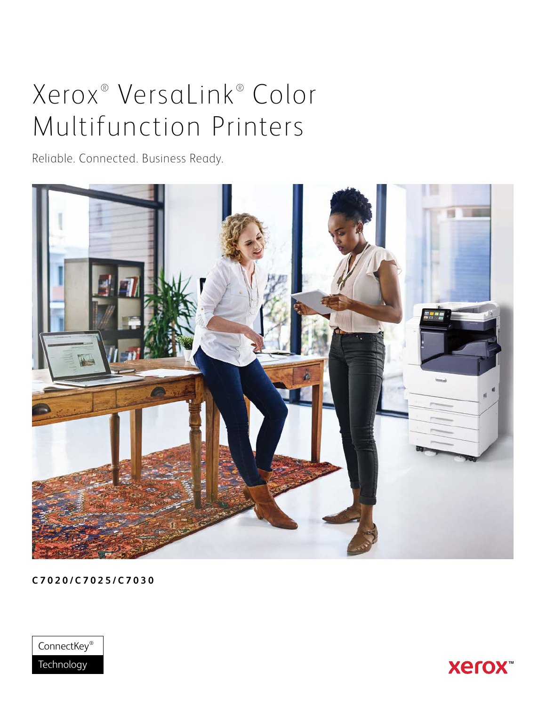# Xerox<sup>®</sup> VersaLink® Color Multifunction Printers

Reliable. Connected. Business Ready.



**C7020/C7025/C7030**



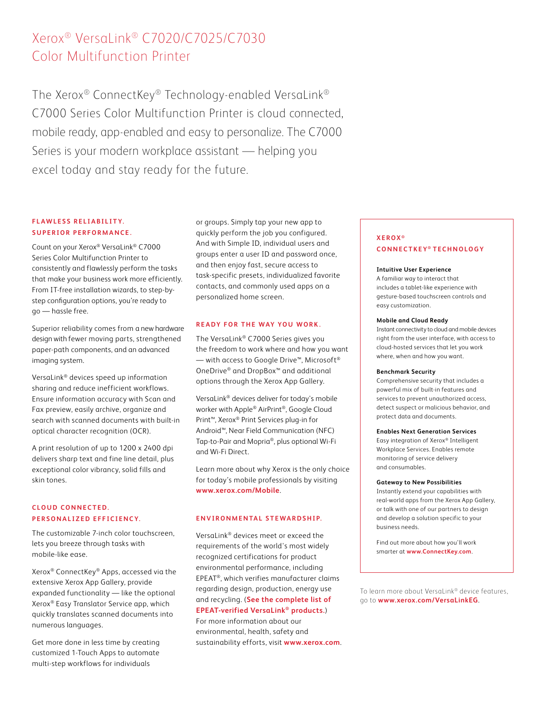# Xerox® VersaLink® C7020/C7025/C7030 Color Multifunction Printer

The Xerox® ConnectKey® Technology-enabled VersaLink® C7000 Series Color Multifunction Printer is cloud connected, mobile ready, app-enabled and easy to personalize. The C7000 Series is your modern workplace assistant — helping you excel today and stay ready for the future.

# **FLAWLESS RELIABILITY. SUPERIOR PERFORMANCE.**

Count on your Xerox® VersaLink® C7000 Series Color Multifunction Printer to consistently and flawlessly perform the tasks that make your business work more efficiently. From IT-free installation wizards, to step-bystep configuration options, you're ready to go — hassle free.

Superior reliability comes from a new hardware design with fewer moving parts, strengthened paper-path components, and an advanced imaging system.

VersaLink® devices speed up information sharing and reduce inefficient workflows. Ensure information accuracy with Scan and Fax preview, easily archive, organize and search with scanned documents with built-in optical character recognition (OCR).

A print resolution of up to 1200 x 2400 dpi delivers sharp text and fine line detail, plus exceptional color vibrancy, solid fills and skin tones.

# **C L O U D C O N N E C T E D . PERSONALIZED EFFICIENCY.**

The customizable 7-inch color touchscreen, lets you breeze through tasks with mobile-like ease.

Xerox® ConnectKey® Apps, accessed via the extensive Xerox App Gallery, provide expanded functionality — like the optional Xerox® Easy Translator Service app, which quickly translates scanned documents into numerous languages.

Get more done in less time by creating customized 1-Touch Apps to automate multi-step workflows for individuals

or groups. Simply tap your new app to quickly perform the job you configured. And with Simple ID, individual users and groups enter a user ID and password once, and then enjoy fast, secure access to task-specific presets, individualized favorite contacts, and commonly used apps on a personalized home screen.

## **READY FOR THE WAY YOU WORK.**

The VersaLink® C7000 Series gives you the freedom to work where and how you want  $−$  with access to Google Drive™, Microsoft® OneDrive® and DropBox™ and additional options through the Xerox App Gallery.

VersaLink® devices deliver for today's mobile worker with Apple® AirPrint®, Google Cloud Print™, Xerox® Print Services plug-in for Android™, Near Field Communication (NFC) Tap-to-Pair and Mopria®, plus optional Wi-Fi and Wi-Fi Direct.

Learn more about why Xerox is the only choice for today's mobile professionals by visiting **[www.xerox.com/Mobile](http://www.xerox.com/Mobile)**.

## **ENVIRONMENTAL STEWARDSHIP.**

VersaLink® devices meet or exceed the requirements of the world's most widely recognized certifications for product environmental performance, including EPEAT®, which verifies manufacturer claims regarding design, production, energy use and recycling. (**[See the complete list of](http://www.GreenElectronicsCouncil.org/epeat/epeat-overview)  [EPEAT-verified VersaLink® products.](http://www.GreenElectronicsCouncil.org/epeat/epeat-overview)**) For more information about our environmental, health, safety and sustainability efforts, visit **[www.xerox.com](http://www.xerox.com)**.

# **XEROX ® CONNECTKEY ® TECHNOLOGY**

#### **Intuitive User Experience**

A familiar way to interact that includes a tablet-like experience with gesture-based touchscreen controls and easy customization.

#### **Mobile and Cloud Ready**

Instant connectivity to cloud and mobile devices right from the user interface, with access to cloud-hosted services that let you work where, when and how you want.

#### **Benchmark Security**

Comprehensive security that includes a powerful mix of built-in features and services to prevent unauthorized access, detect suspect or malicious behavior, and protect data and documents.

#### **Enables Next Generation Services**

Easy integration of Xerox® Intelligent Workplace Services. Enables remote monitoring of service delivery and consumables.

#### **Gateway to New Possibilities**

Instantly extend your capabilities with real-world apps from the Xerox App Gallery, or talk with one of our partners to design and develop a solution specific to your business needs.

Find out more about how you'll work smarter at **[www.ConnectKey.com](http://connectkey.com)**.

To learn more about VersaLink® device features, go to **[www.xerox.com/VersaLinkEG](http://www.xerox.com/VersaLinkEG)**.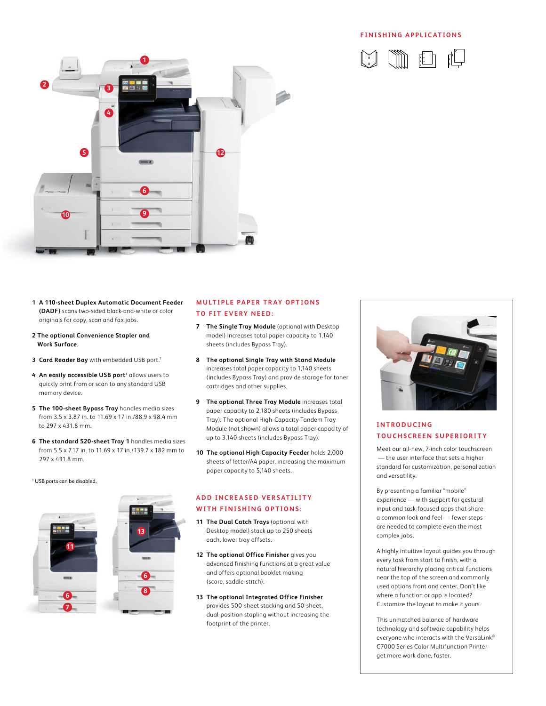#### **FINISHING APPLICATIONS**





- **1 A 110-sheet Duplex Automatic Document Feeder (DADF)** scans two-sided black-and-white or color originals for copy, scan and fax jobs.
- **2 The optional Convenience Stapler and Work Surface**.
- **3 Card Reader Bay** with embedded USB port.<sup>1</sup>
- 4 An easily accessible USB port<sup>1</sup> allows users to quickly print from or scan to any standard USB memory device.
- **5 The 100-sheet Bypass Tray** handles media sizes from 3.5 x 3.87 in. to 11.69 x 17 in./88.9 x 98.4 mm to 297 x 431.8 mm.
- **6 The standard 520-sheet Tray 1** handles media sizes from 5.5 x 7.17 in. to 11.69 x 17 in./139.7 x 182 mm to 297 x 431.8 mm.

#### 1 USB ports can be disabled.



## **MULTIPLE PAPER TRAY OPTIONS TO FIT EVERY NEED:**

- **7 The Single Tray Module** (optional with Desktop model) increases total paper capacity to 1,140 sheets (includes Bypass Tray).
- **8 The optional Single Tray with Stand Module** increases total paper capacity to 1,140 sheets (includes Bypass Tray) and provide storage for toner cartridges and other supplies.
- **9 The optional Three Tray Module** increases total paper capacity to 2,180 sheets (includes Bypass Tray). The optional High-Capacity Tandem Tray Module (not shown) allows a total paper capacity of up to 3,140 sheets (includes Bypass Tray).
- **10 The optional High Capacity Feeder** holds 2,000 sheets of letter/A4 paper, increasing the maximum paper capacity to 5,140 sheets.

# **ADD INCREASED VERSATILITY WITH FINISHING OPTIONS:**

- **11 The Dual Catch Trays** (optional with Desktop model) stack up to 250 sheets each, lower tray offsets.
- **12 The optional Office Finisher** gives you advanced finishing functions at a great value and offers optional booklet making (score, saddle-stitch).
- **13 The optional Integrated Office Finisher**  provides 500-sheet stacking and 50-sheet, dual-position stapling without increasing the footprint of the printer.



# **I N T R O D U C I N G TOUCHSCREEN SUPERIORITY**

Meet our all-new, 7-inch color touchscreen — the user interface that sets a higher standard for customization, personalization and versatility.

By presenting a familiar "mobile" experience — with support for gestural input and task-focused apps that share a common look and feel — fewer steps are needed to complete even the most complex jobs.

A highly intuitive layout guides you through every task from start to finish, with a natural hierarchy placing critical functions near the top of the screen and commonly used options front and center. Don't like where a function or app is located? Customize the layout to make it yours.

This unmatched balance of hardware technology and software capability helps everyone who interacts with the VersaLink® C7000 Series Color Multifunction Printer get more work done, faster.